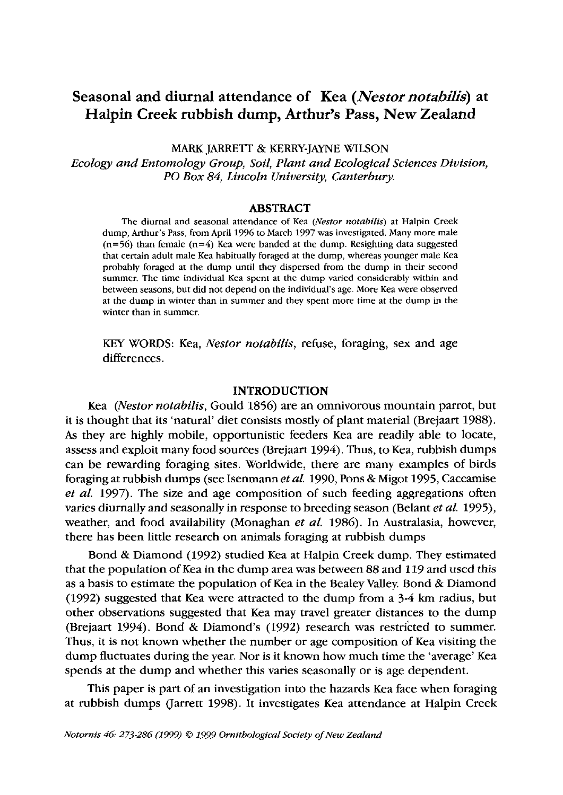# **Seasonal and diurnal attendance of Kea** *(Nestor notabilis)* **at Halpin Creek rubbish dump, Arthur's Pass, New Zealand**

MARK JARRETT & **KERRY-JAYNE** WILSON

*Ecology and Entomology Group, Soil, Plant and Ecological Sciences Division, PO Box 84, Lincoln University, Canterbury.* 

#### **ABSTRACT**

The diurnal and seasonal attendance of Kea (Nestor notabilis) at Halpin Creek dump, Arthur's Pass, from April 1996 to March 1997 was investigated. Many more male  $(n=56)$  than female  $(n=4)$  Kea were banded at the dump. Resighting data suggested that certain adult male Kea habitually foraged at the dump, whereas younger male Kea probably foraged at the dump until they dispersed from the dump in their second summer. The time individual Kea spent at the dump varied considerably within and between seasons, but did not depend on the individual's age. More Kea were observed at the dump in winter than in summer and they spent more time at the dump in the winter than in summer.

KEY WORDS: Kea, *Nestor notabilis,* refuse, foraging, sex and age differences.

### **INTRODUCTION**

Kea *(Nestor notabilis,* Gould 1856) are an omnivorous mountain parrot, but it is thought that its 'natural' diet consists mostly of plant material (Brejaart 1988). As they are highly mobile, opportunistic feeders Kea are readily able to locate, assess and exploit many food sources (Brejaart 1994). Thus, to Kea, rubbish dumps can be rewarding foraging sites. Worldwide, there are many examples of birds foraging at rubbish dumps (see Isenmann *et al.* 1990, Pons & Migot 1995, Caccamise *et al.* 1997). The size and age composition of such feeding aggregations often varies diurnally and seasonally in response to breeding season (Belant *et al.* 1995), weather, and food availability (Monaghan *et al.* 1986). In Australasia, however, there has been little research on animals foraging at rubbish dumps

Bond & Diamond (1992) studied Kea at Halpin Creek dump. They estimated that the population of Kea in the dump area was between 88 and 119 and used this as a basis to estimate the population of Kea in the Bealey Valley. Bond & Diamond (1992) suggested that Kea were attracted to the dump from a 3-4 **km** radius, but other observations suggested that Kea may travel greater distances to the dump (Brejaart 1994). Bond & Diamond's (1992) research was restricted to summer. Thus, it is not known whether the number or age composition of Kea visiting the dump fluctuates during the year. Nor is it known how much time the 'average' Kea spends at the dump and whether this varies seasonally or is age dependent.

This paper is part of an investigation into the hazards Kea face when foraging at rubbish dumps (Jarrett 1998). It investigates Kea attendance at Halpin Creek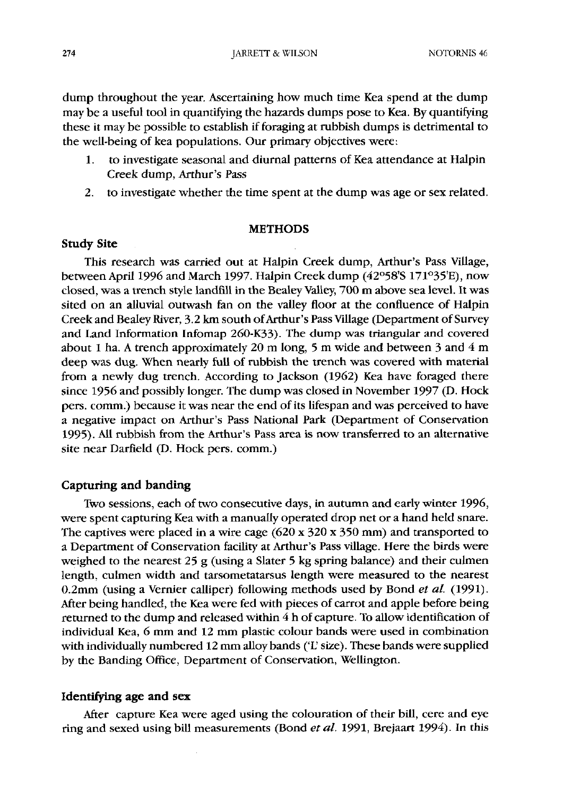dump throughout the year. Ascertaining how much time Kea spend at the dump may be a useful tool in quantifying the hazards dumps pose to Kea. By quantifying these it may be possible to establish if foraging at rubbish dumps is detrimental to the well-being of kea populations. Our primary objectives were:

- **1.** to investigate seasonal and diurnal patterns of Kea attendance at Halpin Creek dump, Arthur's Pass
- 2. to investigate whether the time spent at the dump was age or sex related.

# **METHODS**

# **Study Site**

This research was carried out at Halpin Creek dump, Arthur's Pass Village, between April 1996 and March 1997. Halpin Creek dump (42°58'S 171°35'E), now closed, was a trench style landfill in the Bealey Valley, 700 m above sea level. It was sited on an alluvial outwash fan on the valley floor at the confluence of Halpin Creek and Bealey River, **3.2** km south of Arthur's Pass Village (Department of Survey and Land Information Infornap 260-K33). The dump was triangular and covered about **1** ha. A trench approximately 20 m long, 5 m wide and between **3** and 4 m deep was dug. When nearly **fuU** of rubbish the trench was covered with material from a newly dug trench. According to Jackson **(1962)** Kea have foraged there since **1956** and possibly longer. The dump was closed in November **1997** (D. Hock pers. comrn.) because it was near the end of its lifespan and was perceived to have a negative impact on Arthur's Pass National Park (Department of Conservation **1995).** All rubbish from the Arthur's Pass area is now transferred to an alternative site near Darfield (D. Hock pers. comm.)

# **Capturing and banding**

Two sessions, each of two consecutive days, in autumn and early winter **1996,**  were spent capturing Kea with a manually operated drop net or a hand held snare. The captives were placed in a wire cage (620 x **320** x **350** rnm) and transported to a Department of Conservation facility at Arthur's Pass village. Here the birds were weighed to the nearest **25** g (using a Slater **5** kg spring balance) and their culmen length, cutmen width and tarsometatarsus length were measured to the nearest 0.2mm (using a Vernier calliper) following methods used by Bond *et* al. **(1991).**  After being handled, the Kea were fed with pieces of carrot and apple before being returned to the dump and released within 4 h of capture. To allow identification of individual Kea, 6 mm and **12** mm plastic colour bands were used in combination with individually numbered **12** mm alloy bands **('C** size). These bands were supplied by the Banding Ofice, Department of Conservation, Wellington.

# **Identifying age and sex**

After capture Kea were aged using the colouration of their bill, cere and eye ring and sexed using bill measurements (Bond et al. **1991,** Brejaart **1994).** In this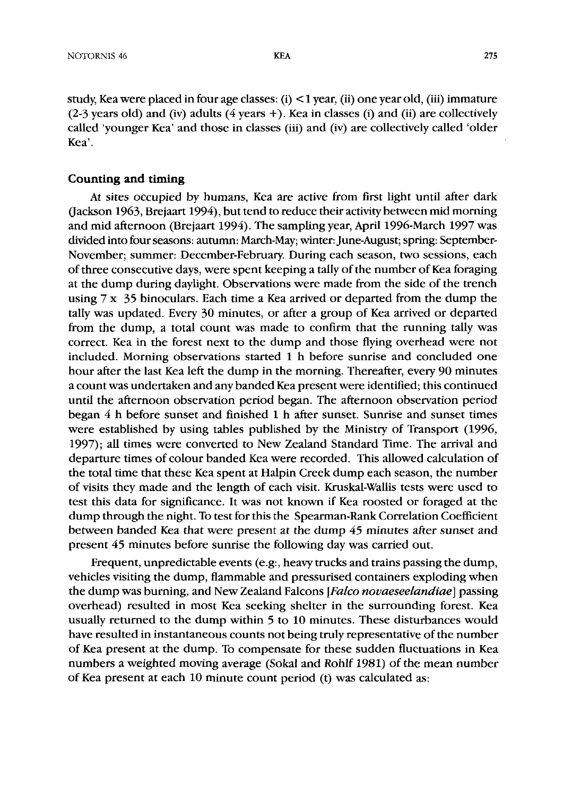study, Kea were placed in four age classes: (i) < 1 year, (ii) one year old, (iii) immature  $(2-3$  years old) and (iv) adults  $(4$  years  $+)$ . Kea in classes (i) and (ii) are collectively called 'younger Kea' and those in classes (iii) and (iv) are collectively called 'older Kea'.

# **Counting and timing**

At sites occupied by humans, Kea are active from first light until after dark (Jackson 1963, Brejaart 1994), but tend to reduce their activity between mid morning and mid afternoon (Brejaart 1994). The sampling year, April 1996-March 1997 was divided into four seasons: autumn: March-May; winter: June-August; spring: September-November; summer: December-February. During each season, two sessions, each of three consecutive days, were spent keeping a tally of the number of Kea foraging at the dump during daylight. Observations were made from the side of the trench using 7 x 35 binoculars. Each time a Kea arrived or departed from the dump the tally was updated. Every 30 minutes, or after a group of Kea arrived or departed from the dump, a total count was made to confirm that the running tally was correct. Kea in the forest next to the dump and those flying overhead were not included. Morning observations started 1 h before sunrise and concluded one hour after the last Kea left the dump in the morning. Thereafter, every 90 minutes a count was undertaken and any banded Kea present were identified; this continued until the afternoon observation period began. The afternoon observation period began 4 h before sunset and finished 1 h after sunset. Sunrise and sunset times were established by using tables published by the Ministry of Transport (1996, 1997); all times were converted to New Zealand Standard Time. The arrival and departure times of colour banded Kea were recorded. This allowed calculation of the total time that these Kea spent at Halpin Creek dump each season, the number of visits they made and the length of each visit. Kruskal-Wallis tests were used to test this data for significance. It was not known if Kea roosted or foraged at the dump through the night. To test for this the Spearman-Rank Correlation Coefficient between banded Kea that were present at the dump 45 minutes after sunset and present 45 minutes before sunrise the following day was carried out.

Frequent, unpredictable events (e.g:, heavy trucks and trains passing the dump, vehicles visiting the dump, flammable and pressurised containers exploding when the dump was burning, and New Zealand Falcons *[Falco novaeseelandiae]* passing overhead) resulted in most Kea seeking shelter in the surrounding forest. Kea usually returned to the dump within 5 to 10 minutes. These disturbances would have resulted in instantaneous counts not being truly representative of the number of Kea present at the dump. To compensate for these sudden fluctuations in Kea numbers a weighted moving average (Sokal and Rohlf 1981) of the mean number of Kea present at each 10 minute count period (t) was calculated as: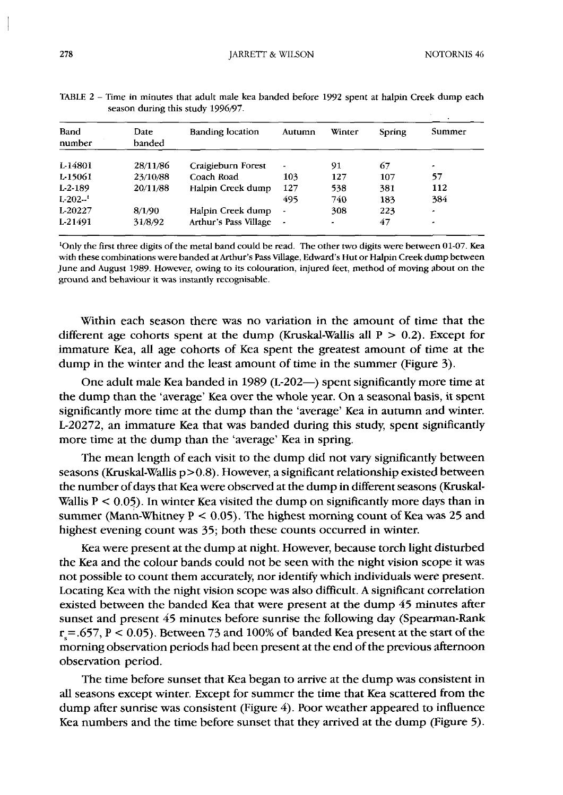JARRETT & WILSON NOTORNIS 46

| <b>Band</b><br>number | Date<br>banded | <b>Banding location</b> | Autumn                   | Winter | Spring | Summer |
|-----------------------|----------------|-------------------------|--------------------------|--------|--------|--------|
| L-14801               | 28/11/86       | Craigieburn Forest      | $\overline{\phantom{0}}$ | 91     | 67     |        |
| L-15061               | 23/10/88       | Coach Road              | 103                      | 127    | 107    | 57     |
| $L-2-189$             | 20/11/88       | Halpin Creek dump       | 127                      | 538    | 381    | 112    |
| $L-202-1$             |                |                         | 495                      | 740    | 183    | 384    |
| L-20227               | 8/1/90         | Halpin Creek dump       | $\blacksquare$           | 308    | 223    | ۰      |
| L-21491               | 31/8/92        | Arthur's Pass Village   |                          | ۰      | 47     | ۰      |

**TABLE 2** - **Time in minutes that adult male kea banded before 1992 spent at halpin Creek dump each**  season during this study 1996/97.

**'Only the first three digits of the metal band could be read. The other two digits were between 01-07. Kea with these combinations were banded at Arthur's Pass Village, Edward's Hut or Halpin Creek dump between June and August 1989. However, owing to its colouration, injured feet, method of moving about on the ground and behaviour it was instantly recognisable.** 

Within each season there was no variation in the amount of time that the different age cohorts spent at the dump (Kruskal-Wallis all  $P > 0.2$ ). Except for immature Kea, all age cohorts of Kea spent the greatest amount of time at the dump in the winter and the least amount of time in the summer (Figure 3).

One adult male Kea banded in 1989 (L-202-) spent significantly more time at the dump than the 'average' Kea over the whole year. On a seasonal basis, it spent significantly more time at the dump than the 'average' Kea in autumn and winter. L-20272, an immature Kea that was banded during this study, spent significantly more time at the dump than the 'average' Kea in spring.

The mean length of each visit to the dump did not vary significantly between seasons (Kruskal-Wallis p>0.8). However, a significant relationship existed between the number of days that Kea were observed at the dump in different seasons (Kruskal-Wallis  $P < 0.05$ ). In winter Kea visited the dump on significantly more days than in summer (Mann-Whitney  $P < 0.05$ ). The highest morning count of Kea was 25 and highest evening count was 35; both these counts occurred in winter.

Kea were present at the dump at night. However, because torch light disturbed the Kea and the colour bands could not be seen with the night vision scope it was not possible to count them accurately, nor identify which individuals were present. Locating Kea with the night vision scope was also difficult. A significant correlation existed between the banded Kea that were present at the dump 45 minutes after sunset and present 45 minutes before sunrise the following day (Spearman-Rank  $r_s = .657$ ,  $P < 0.05$ ). Between 73 and 100% of banded Kea present at the start of the morning observation periods had been present at the end of the previous afternoon observation period.

The time before sunset that Kea began to arrive at the dump was consistent in all seasons except winter. Except for summer the time that Kea scattered from the dump after sunrise was consistent (Figure 4). Poor weather appeared to influence Kea numbers and the time before sunset that they arrived at the dump (Figure 5).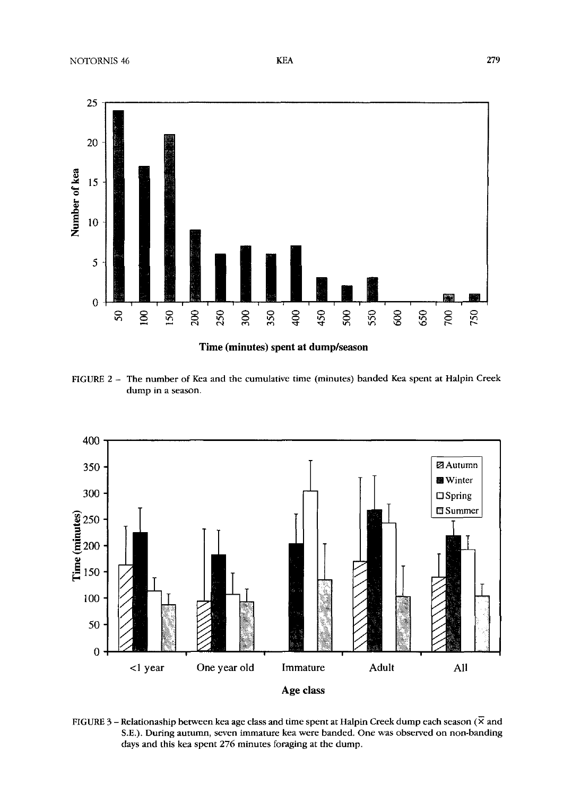

**FIGURE 2** - The number of Kea and the cumulative time (minutes) banded Kea spent at Halpin Creek dump in a season.



FIGURE 3 – Relationaship between kea age class and time spent at Halpin Creek dump each season ( $\bar{x}$  and S.E.). During autumn, seven immature kea were banded. One was observed on non-banding days and this kea spent 276 minutes foraging at the dump.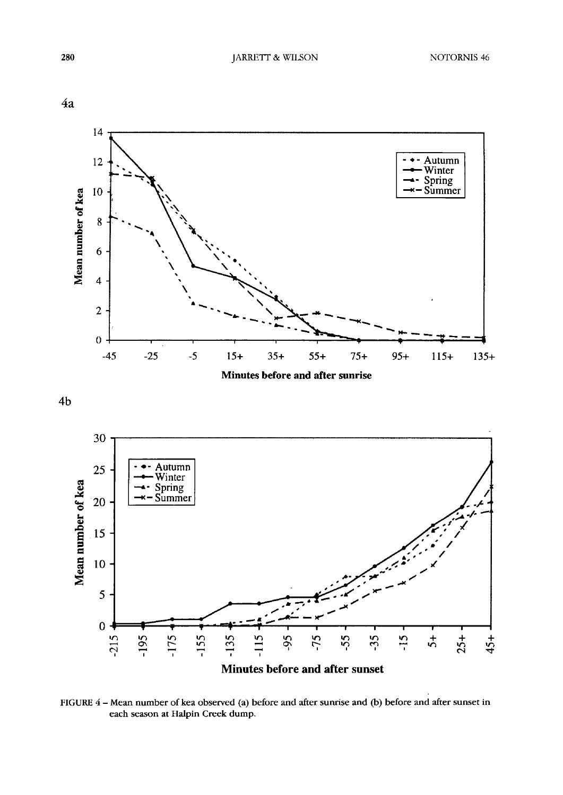





FIGURE 4 - Mean number of kea observed (a) before and after sunrise and (b) before and after sunset in each season at Halpin Creek dump.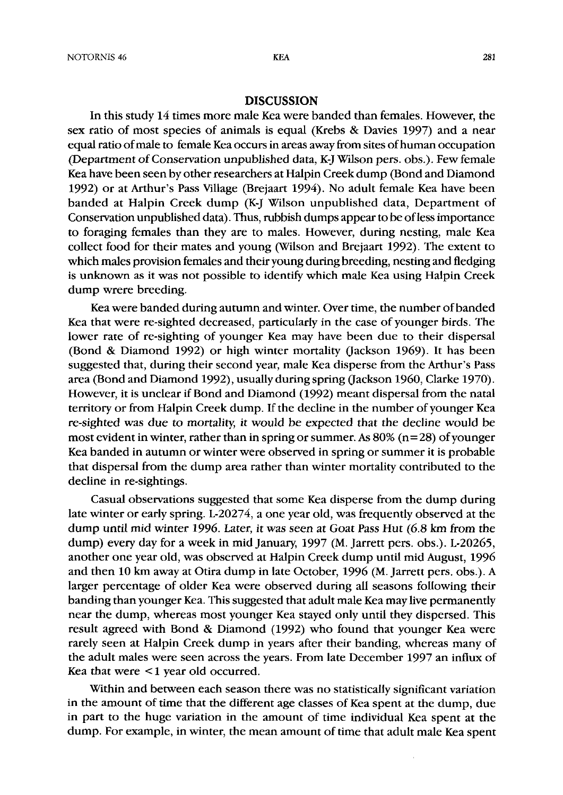# **DISCUSSION**

In this study 14 times more male Kea were banded than females. However, the sex ratio of most species of animals is equal (Krebs & Davies 1997) and a near equal ratio of male to female Kea occurs in areas away from sites of human occupation (Department of Conservation unpublished data, K-J Wilson pers. obs.). Few female Kea have been seen by other researchers at Halpin Creek dump (Bond and Diamond 1992) or at Arthur's Pass Village (Brejaart 1994). No adult female Kea have been banded at Halpin Creek dump (K-J Wilson unpublished data, Department of Conservation unpublished data). Thus, rubbish dumps appear to be of less importance to foraging females than they are to males. However, during nesting, male Kea collect food for their mates and young (Wilson and Brejaart 1992). The extent to which males provision females and their young during breeding, nesting and fledging is unknown as it was not possible to identify which male Kea using Halpin Creek dump wrere breeding.

Kea were banded during autumn and winter. Over time, the number of banded Kea that were re-sighted decreased, particularly in the case of younger birds. The lower rate of re-sighting of younger Kea may have been due to their dispersal (Bond & Diamond 1992) or high winter mortality (Jackson 1969). It has been suggested that, during their second year, male Kea disperse from the Arthur's Pass area (Bond and Diamond 1992), usually during spring (Jackson 1960, Clarke 1970). However, it is unclear if Bond and Diamond (1992) meant dispersal from the natal territory or from Halpin Creek dump. If the decline in the number of younger Kea re-sighted was due to mortality, it would be expected that the decline would be most evident in winter, rather than in spring or summer. As  $80\%$  (n=28) of younger Kea banded in autumn or winter were observed in spring or summer it is probable that dispersal from the dump area rather than winter mortality contributed to the decline in re-sightings.

Casual observations suggested that some Kea disperse from the dump during late winter or early spring. L-20274, a one year old, was frequently observed at the dump until mid winter 1996. Later, it was seen at Goat Pass Hut (6.8 km from the dump) every day for a week in mid January, 1997 (M. Jarrett pers. obs.). L-20265, another one year old, was observed at Halpin Creek dump until mid August, 1996 and then 10 km away at Otira dump in late October, 1996 (M. Jarrett pers. obs.). A larger percentage of older Kea were observed during all seasons folIowing their banding than younger Kea. This suggested that adult male Kea may live permanently near the dump, whereas most younger Kea stayed only until they dispersed. This result agreed with Bond & Diamond (1992) who found that younger Kea were rarely seen at Halpin Creek dump in years after their banding, whereas many of the adult males were seen across the years. From late December 1997 an influx of Kea that were < 1 year old occurred.

Within and between each season there was no statistically significant variation in the amount of time that the different age classes of Kea spent at the dump, due in part to the huge variation in the amount of time individual Kea spent at the dump. For example, in winter, the mean amount of time that adult male Kea spent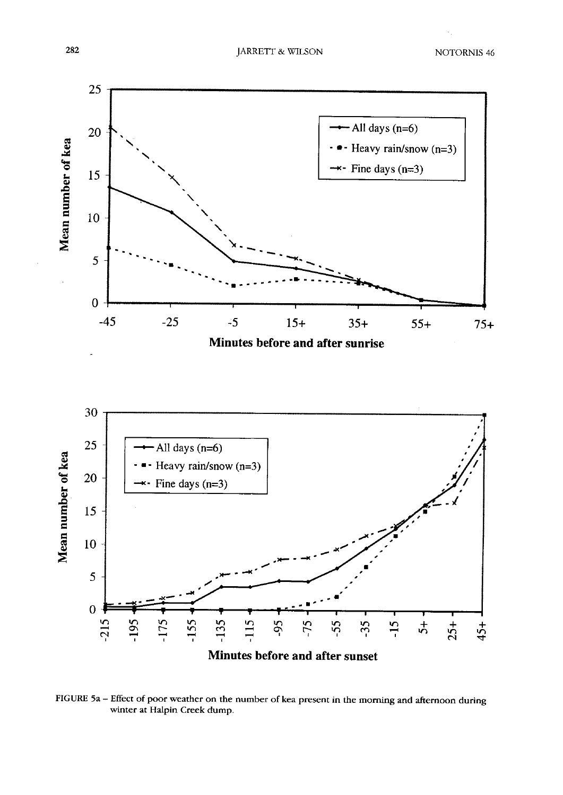

FIGURE 5a - Effect of poor weather on the number of kea present in the morning and afternoon during winter at Halpin Creek dump.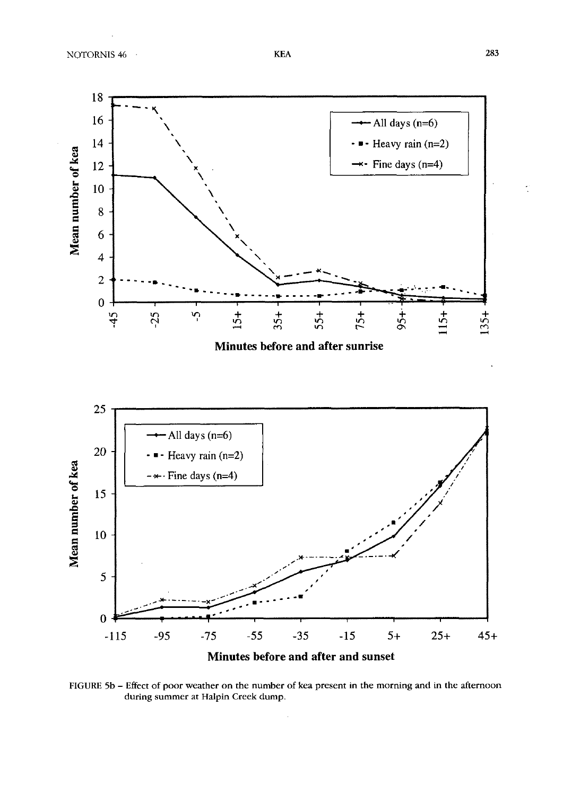

FIGURE 5b - Effect of poor weather on the number of kea present in the morning and in the afternoon during summer at Halpin Creek dump.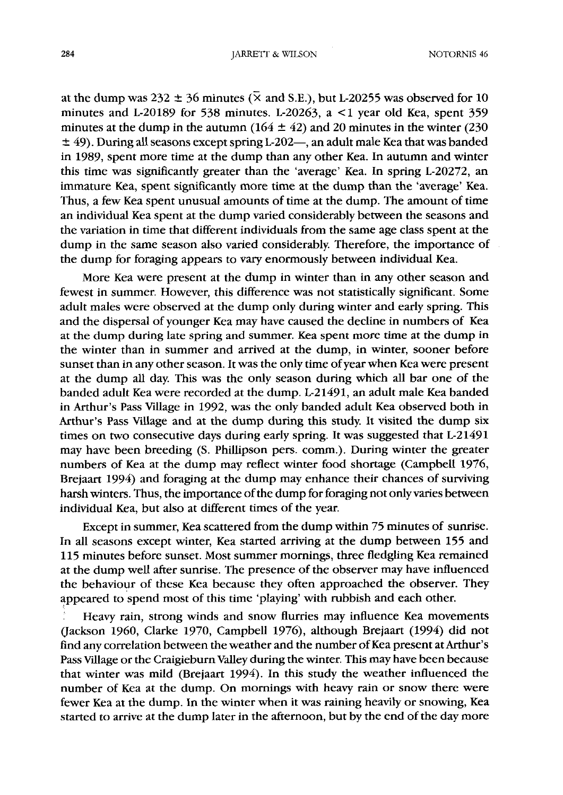#### JARRETr & WILSON NOTORNIS **46**

at the dump was  $232 \pm 36$  minutes ( $\bar{x}$  and S.E.), but L-20255 was observed for 10 minutes and **L-20189** for **538** minutes. **L-20263,** a **<l** year old Kea, spent **359**  minutes at the dump in the autumn  $(164 \pm 42)$  and 20 minutes in the winter  $(230$ *2* **49).** During all seasons except spring **L-202-,** an adult male Kea that was banded in **1989,** spent more time at the dump than any other Kea. In autumn and winter this time was significantly greater than the 'average' Kea. In spring **L-20272,** an immature Kea, spent significantly more time at the dump than the 'average' Kea. Thus, a few Kea spent unusual amounts of time at the dump. The amount of time an individual Kea spent at the dump varied considerably between the seasons and the variation in time that different individuals from the same age class spent at the dump in the same season also varied considerably. Therefore, the importance of the dump for foraging appears to vary enormously between individual Kea.

More Kea were present at the dump in winter than in any other season and fewest in summer. However, this difference was not statistically significant. Some adult males were observed at the dump only during winter and early spring. This and the dispersal of younger Kea may have caused the decline in numbers of Kea at the dump during late spring and summer. Kea spent more time at the dump in the winter than in summer and arrived at the dump, in winter, sooner before sunset than in any other season. It was the only time of year when Kea were present at the dump all day. This was the only season during which all bar one of the banded adult Kea were recorded at the dump. **L-21491,** an adult male Kea banded in Arthur's Pass Village in **1992,** was the only banded adult Kea observed both in Arthur's Pass Village and at the dump during this study. It visited the dump six times on two consecutive days during early spring. It was suggested that **L-21491**  may have been breeding (S. Phillipson pers. comm.). During winter the greater numbers of Kea at the dump may reflect winter food shortage (Campbell **1976,**  Brejaart **1994)** and foraging at the dump may enhance their chances of surviving harsh winters. Thus, the importance of the dump for foraging not only varies between individual Kea, but also at different times of the year.

Except in summer, Kea scattered from the dump within **75** minutes of sunrise. In all seasons except winter, Kea started arriving at the dump between **155** and **115** minutes before sunset. Most summer mornings, three fledgling Kea remained at the dump well after sunrise. The presence of the observer may have influenced the behaviour of these Kea because they often approached the observer. They appeared to spend most of this time 'playing' with rubbish and each other.

Heavy rain, strong winds and snow flurries may influence Kea movements aackson **1960,** Clarke **1970,** Campbell **1976),** although Brejaart **(1994)** did not find any correlation between the weather and the number of Kea present at Arthur's Pass Village or the Craigieburn Valley during the winter. This may have been because that winter was mild (Brejaart **1994).** In this study the weather influenced the number of Kea at the dump. On mornings with heavy rain or snow there were fewer Kea at the dump. In the winter when it was raining heavily or snowing, Kea started to arrive at the dump later in the afternoon, but by the end of the day more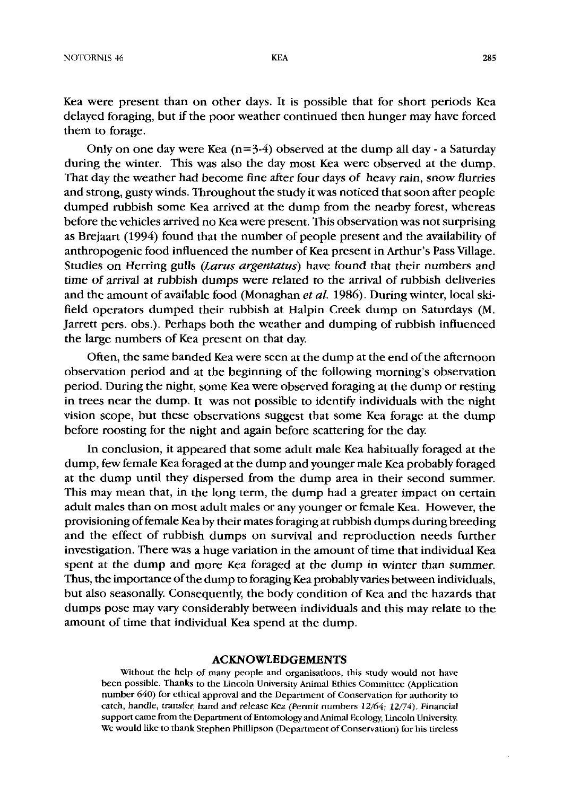Kea were present than on other days. It is possible that for short periods Kea delayed foraging, but if the poor weather continued then hunger may have forced them to forage.

Only on one day were Kea  $(n=3-4)$  observed at the dump all day - a Saturday during the winter. This was also the day most Kea were observed at the dump. That day the weather had become fine after four days of heavy rain, snow flurries and strong, gustywinds. Throughout the study it was noticed that soon after people dumped rubbish some Kea arrived at the dump from the nearby forest, whereas before the vehicles arrived no Kea were present. This observation was not surprising as Brejaart *(1994)* found that the number of people present and the availability of anthropogenic food influenced the number of Kea present in Arthur's Pass Village. Studies on Herring gulls *(Larus argentatus)* have found that their numbers and time of arrival at rubbish dumps were related to the arrival of rubbish deliveries and the amount of available food (Monaghan *et al. 1986).* During winter, local skifield operators dumped their rubbish at Halpin Creek dump on Saturdays (M. Jarrett pers. obs.). Perhaps both the weather and dumping of rubbish influenced the large numbers of Kea present on that day.

Often, the same banded Kea were seen at the dump at the end of the afternoon observation period and at the beginning of the following morning's observation period. During the night, some Kea were observed foraging at the dump or resting in trees near the dump. It was not possible to identify individuals with the night vision scope, but these observations suggest that some Kea forage at the dump before roosting for the night and again before scattering for the day.

In conclusion, it appeared that some adult male Kea habitually foraged at the dump, few female Kea foraged at the dump and younger male Kea probably foraged at the dump until they dispersed from the dump area in their second summer. This may mean that, in the long term, the dump had a greater impact on certain adult males than on most adult males or any younger or female Kea. However, the provisioning of female Kea by their mates foraging at rubbish dumps during breeding and the effect of rubbish dumps on survival and reproduction needs further investigation. There was a huge variation in the amount of time that individual Kea spent at the dump and more Kea foraged at the dump in winter than summer. Thus, the importance of the dump to foraging Kea probably varies between individuals, but also seasonally. Consequently, the body condition of Kea and the hazards that dumps pose may vary considerably between individuals and this may relate to the amount of time that individual Kea spend at the dump.

#### **ACKNOWLEDGEMENTS**

**Without the help of many people and organisations, this study would not have been possible. Thanks to the Lincoln University Animal Ethics Committee (Application number 640) for ethical approval and the Department of Conservation for authority to catch, handle, transfer, band and release Kea (Permit numbers 12/64; 12/74). Financial support came from the Department of Entomology and Animal Ecology, Lincoln University We would like to thank Stephen Phillipson (Department of Conservation) for his tireless**